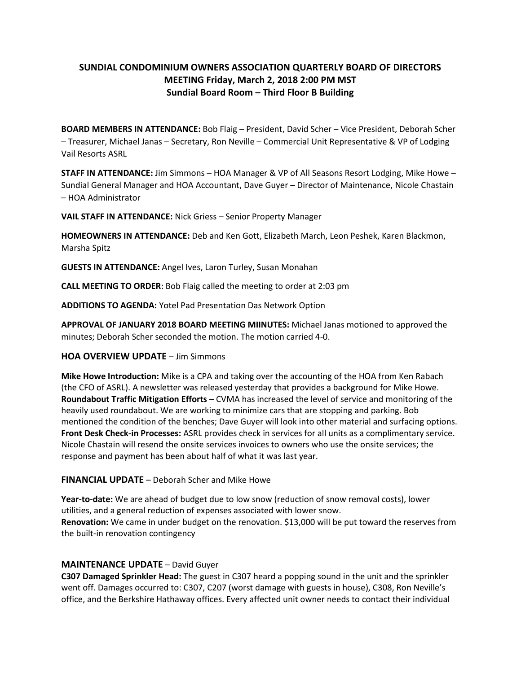## **SUNDIAL CONDOMINIUM OWNERS ASSOCIATION QUARTERLY BOARD OF DIRECTORS MEETING Friday, March 2, 2018 2:00 PM MST Sundial Board Room – Third Floor B Building**

**BOARD MEMBERS IN ATTENDANCE:** Bob Flaig – President, David Scher – Vice President, Deborah Scher – Treasurer, Michael Janas – Secretary, Ron Neville – Commercial Unit Representative & VP of Lodging Vail Resorts ASRL

**STAFF IN ATTENDANCE:** Jim Simmons – HOA Manager & VP of All Seasons Resort Lodging, Mike Howe – Sundial General Manager and HOA Accountant, Dave Guyer – Director of Maintenance, Nicole Chastain – HOA Administrator

**VAIL STAFF IN ATTENDANCE:** Nick Griess – Senior Property Manager

**HOMEOWNERS IN ATTENDANCE:** Deb and Ken Gott, Elizabeth March, Leon Peshek, Karen Blackmon, Marsha Spitz

**GUESTS IN ATTENDANCE:** Angel Ives, Laron Turley, Susan Monahan

**CALL MEETING TO ORDER**: Bob Flaig called the meeting to order at 2:03 pm

**ADDITIONS TO AGENDA:** Yotel Pad Presentation Das Network Option

**APPROVAL OF JANUARY 2018 BOARD MEETING MIINUTES:** Michael Janas motioned to approved the minutes; Deborah Scher seconded the motion. The motion carried 4-0.

## **HOA OVERVIEW UPDATE** – Jim Simmons

**Mike Howe Introduction:** Mike is a CPA and taking over the accounting of the HOA from Ken Rabach (the CFO of ASRL). A newsletter was released yesterday that provides a background for Mike Howe. **Roundabout Traffic Mitigation Efforts** – CVMA has increased the level of service and monitoring of the heavily used roundabout. We are working to minimize cars that are stopping and parking. Bob mentioned the condition of the benches; Dave Guyer will look into other material and surfacing options. **Front Desk Check-in Processes:** ASRL provides check in services for all units as a complimentary service. Nicole Chastain will resend the onsite services invoices to owners who use the onsite services; the response and payment has been about half of what it was last year.

## **FINANCIAL UPDATE** – Deborah Scher and Mike Howe

**Year-to-date:** We are ahead of budget due to low snow (reduction of snow removal costs), lower utilities, and a general reduction of expenses associated with lower snow. **Renovation:** We came in under budget on the renovation. \$13,000 will be put toward the reserves from the built-in renovation contingency

## **MAINTENANCE UPDATE** – David Guyer

**C307 Damaged Sprinkler Head:** The guest in C307 heard a popping sound in the unit and the sprinkler went off. Damages occurred to: C307, C207 (worst damage with guests in house), C308, Ron Neville's office, and the Berkshire Hathaway offices. Every affected unit owner needs to contact their individual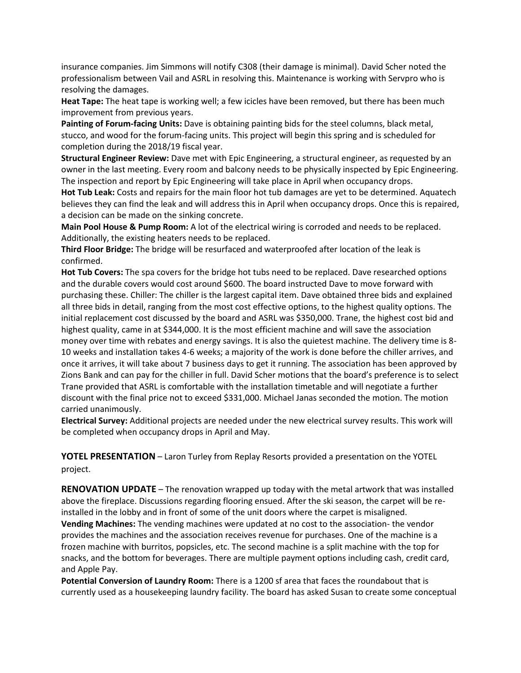insurance companies. Jim Simmons will notify C308 (their damage is minimal). David Scher noted the professionalism between Vail and ASRL in resolving this. Maintenance is working with Servpro who is resolving the damages.

**Heat Tape:** The heat tape is working well; a few icicles have been removed, but there has been much improvement from previous years.

**Painting of Forum-facing Units:** Dave is obtaining painting bids for the steel columns, black metal, stucco, and wood for the forum-facing units. This project will begin this spring and is scheduled for completion during the 2018/19 fiscal year.

**Structural Engineer Review:** Dave met with Epic Engineering, a structural engineer, as requested by an owner in the last meeting. Every room and balcony needs to be physically inspected by Epic Engineering. The inspection and report by Epic Engineering will take place in April when occupancy drops.

**Hot Tub Leak:** Costs and repairs for the main floor hot tub damages are yet to be determined. Aquatech believes they can find the leak and will address this in April when occupancy drops. Once this is repaired, a decision can be made on the sinking concrete.

**Main Pool House & Pump Room:** A lot of the electrical wiring is corroded and needs to be replaced. Additionally, the existing heaters needs to be replaced.

**Third Floor Bridge:** The bridge will be resurfaced and waterproofed after location of the leak is confirmed.

**Hot Tub Covers:** The spa covers for the bridge hot tubs need to be replaced. Dave researched options and the durable covers would cost around \$600. The board instructed Dave to move forward with purchasing these. Chiller: The chiller is the largest capital item. Dave obtained three bids and explained all three bids in detail, ranging from the most cost effective options, to the highest quality options. The initial replacement cost discussed by the board and ASRL was \$350,000. Trane, the highest cost bid and highest quality, came in at \$344,000. It is the most efficient machine and will save the association money over time with rebates and energy savings. It is also the quietest machine. The delivery time is 8- 10 weeks and installation takes 4-6 weeks; a majority of the work is done before the chiller arrives, and once it arrives, it will take about 7 business days to get it running. The association has been approved by Zions Bank and can pay for the chiller in full. David Scher motions that the board's preference is to select Trane provided that ASRL is comfortable with the installation timetable and will negotiate a further discount with the final price not to exceed \$331,000. Michael Janas seconded the motion. The motion carried unanimously.

**Electrical Survey:** Additional projects are needed under the new electrical survey results. This work will be completed when occupancy drops in April and May.

**YOTEL PRESENTATION** – Laron Turley from Replay Resorts provided a presentation on the YOTEL project.

**RENOVATION UPDATE** – The renovation wrapped up today with the metal artwork that was installed above the fireplace. Discussions regarding flooring ensued. After the ski season, the carpet will be reinstalled in the lobby and in front of some of the unit doors where the carpet is misaligned.

**Vending Machines:** The vending machines were updated at no cost to the association- the vendor provides the machines and the association receives revenue for purchases. One of the machine is a frozen machine with burritos, popsicles, etc. The second machine is a split machine with the top for snacks, and the bottom for beverages. There are multiple payment options including cash, credit card, and Apple Pay.

**Potential Conversion of Laundry Room:** There is a 1200 sf area that faces the roundabout that is currently used as a housekeeping laundry facility. The board has asked Susan to create some conceptual